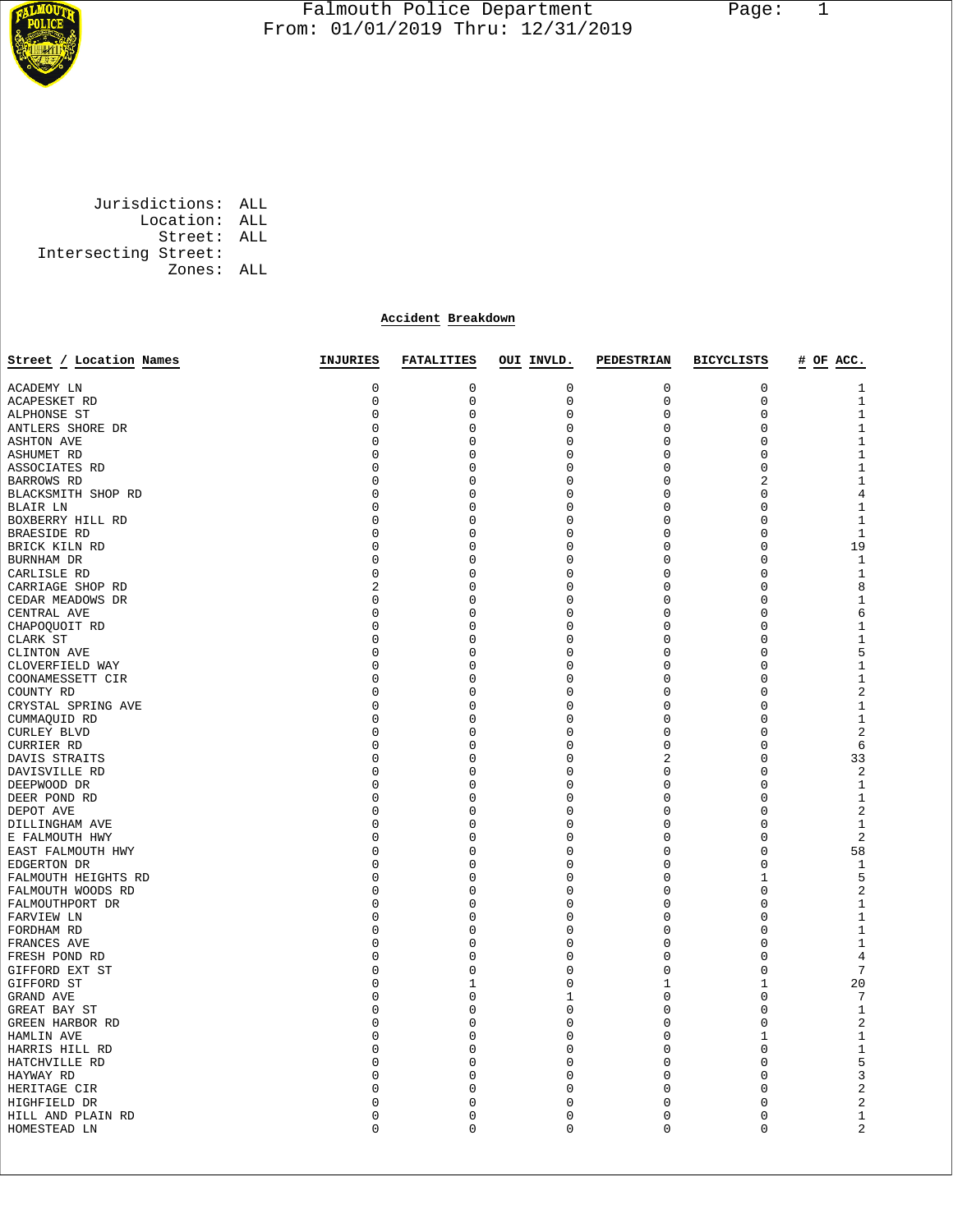

## Falmouth Police Department Page: 1  $\frac{1}{3}$  From: 01/01/2019 Thru: 12/31/2019

 Jurisdictions: ALL Location: ALL Street: ALL Intersecting Street: Zones: ALL

## **Accident Breakdown**

| Street / Location Names | INJURIES    | <b>FATALITIES</b> | OUI INVLD. | PEDESTRIAN  | <b>BICYCLISTS</b> | # OF ACC.      |
|-------------------------|-------------|-------------------|------------|-------------|-------------------|----------------|
| ACADEMY LN              | 0           | 0                 | 0          | 0           | 0                 | 1              |
| ACAPESKET RD            | 0           | 0                 | 0          | $\mathbf 0$ | 0                 | $\mathbf{1}$   |
| ALPHONSE ST             | 0           | 0                 | 0          | $\mathbf 0$ | 0                 | $\mathbf{1}$   |
| ANTLERS SHORE DR        | $\mathbf 0$ | 0                 | 0          | 0           | 0                 | $\mathbf{1}$   |
| <b>ASHTON AVE</b>       | 0           | 0                 | 0          | 0           | 0                 | $\mathbf{1}$   |
| ASHUMET RD              | 0           | $\mathbf 0$       | 0          | $\mathbf 0$ | 0                 | $\mathbf{1}$   |
| ASSOCIATES RD           | 0           | 0                 | 0          | $\mathbf 0$ | 0                 | $\mathbf{1}$   |
| BARROWS RD              | 0           | 0                 | 0          | 0           | 2                 | $\mathbf{1}$   |
| BLACKSMITH SHOP RD      | 0           | 0                 | 0          | $\mathbf 0$ | 0                 | $\overline{4}$ |
|                         | 0           | 0                 | 0          | $\mathbf 0$ | 0                 | $\mathbf{1}$   |
| BLAIR LN                | 0           | 0                 | 0          | $\mathbf 0$ | 0                 |                |
| BOXBERRY HILL RD        | $\mathbf 0$ |                   |            |             | 0                 | $\mathbf{1}$   |
| BRAESIDE RD             |             | 0                 | 0          | $\mathbf 0$ |                   | $\mathbf{1}$   |
| BRICK KILN RD           | 0           | 0<br>$\mathbf 0$  | 0          | 0           | 0                 | 19             |
| BURNHAM DR              | 0           |                   | 0          | $\mathbf 0$ | 0                 | 1              |
| CARLISLE RD             | 0           | 0                 | 0          | $\mathbf 0$ | 0                 | $\mathbf{1}$   |
| CARRIAGE SHOP RD        | 2           | 0                 | $\Omega$   | 0           | 0                 | 8              |
| CEDAR MEADOWS DR        | 0           | 0                 | 0          | $\mathbf 0$ | 0                 | $\mathbf{1}$   |
| CENTRAL AVE             | 0           | 0                 | 0          | $\mathbf 0$ | 0                 | 6              |
| CHAPOQUOIT RD           | 0           | 0                 | 0          | $\mathbf 0$ | 0                 | $\mathbf{1}$   |
| CLARK ST                | 0           | 0                 | 0          | $\mathbf 0$ | 0                 | $\mathbf{1}$   |
| CLINTON AVE             | 0           | 0                 | $\Omega$   | 0           | 0                 | 5              |
| CLOVERFIELD WAY         | $\Omega$    | $\mathbf 0$       | 0          | $\mathbf 0$ | 0                 | $\mathbf{1}$   |
| COONAMESSETT CIR        | 0           | 0                 | 0          | 0           | 0                 | $\mathbf{1}$   |
| COUNTY RD               | $\Omega$    | 0                 | 0          | 0           | 0                 | $\overline{2}$ |
| CRYSTAL SPRING AVE      | $\Omega$    | 0                 | 0          | $\mathbf 0$ | 0                 | $\mathbf{1}$   |
| CUMMAQUID RD            | 0           | 0                 | $\Omega$   | 0           | 0                 | $\mathbf{1}$   |
| <b>CURLEY BLVD</b>      | $\Omega$    | 0                 | 0          | $\mathbf 0$ | 0                 | $\overline{2}$ |
| <b>CURRIER RD</b>       | $\Omega$    | $\mathbf 0$       | 0          | $\mathbf 0$ | 0                 | 6              |
| DAVIS STRAITS           | $\Omega$    | 0                 | $\Omega$   | 2           | 0                 | 33             |
| DAVISVILLE RD           | $\Omega$    | $\mathbf 0$       | 0          | $\mathbf 0$ | 0                 | $\overline{2}$ |
| DEEPWOOD DR             | 0           | 0                 | 0          | 0           | 0                 | 1              |
| DEER POND RD            | $\Omega$    | 0                 | 0          | $\mathbf 0$ | 0                 | $\mathbf{1}$   |
| DEPOT AVE               | $\Omega$    | 0                 | 0          | $\mathbf 0$ | 0                 | $\sqrt{2}$     |
| DILLINGHAM AVE          | 0           | $\Omega$          | $\Omega$   | $\mathbf 0$ | $\Omega$          | $\mathbf 1$    |
| E FALMOUTH HWY          | 0           | 0                 | 0          | $\mathbf 0$ | 0                 | $\mathbf{2}$   |
| EAST FALMOUTH HWY       | 0           | 0                 | 0          | 0           | 0                 | 58             |
| EDGERTON DR             | $\Omega$    | $\Omega$          | $\Omega$   | $\mathbf 0$ | $\Omega$          | 1              |
| FALMOUTH HEIGHTS RD     | 0           | 0                 | 0          | 0           | 1                 | 5              |
| FALMOUTH WOODS RD       | $\Omega$    | $\Omega$          | $\Omega$   | $\mathbf 0$ | 0                 | $\sqrt{2}$     |
| FALMOUTHPORT DR         | 0           | $\mathbf 0$       | 0          | $\mathbf 0$ | 0                 | $\mathbf{1}$   |
| FARVIEW LN              | 0           | 0                 | 0          | 0           | 0                 | $1\,$          |
| FORDHAM RD              | 0           | 0                 | 0          | $\mathbf 0$ | 0                 | $\mathbf 1$    |
| FRANCES AVE             | $\mathbf 0$ | $\mathbf 0$       | $\Omega$   | $\mathbf 0$ | 0                 | $\mathbf{1}$   |
| FRESH POND RD           | 0           | 0                 | $\Omega$   | 0           | $\Omega$          | 4              |
| GIFFORD EXT ST          | 0           | $\mathbf 0$       | $\Omega$   | $\mathbf 0$ | 0                 | 7              |
| GIFFORD ST              | 0           | 1                 | 0          | $\mathbf 1$ | 1                 | 20             |
| GRAND AVE               | 0           | 0                 | 1          | $\mathbf 0$ | 0                 | $\overline{7}$ |
| GREAT BAY ST            | 0           | $\mathbf 0$       | 0          | $\mathbf 0$ | 0                 | $\mathbf{1}$   |
| GREEN HARBOR RD         | $\Omega$    | $\Omega$          | $\Omega$   | 0           | $\Omega$          | 2              |
| HAMLIN AVE              | $\mathbf 0$ | $\mathbf 0$       | 0          | $\mathbf 0$ | 1                 | $\mathbf{1}$   |
| HARRIS HILL RD          | $\mathbf 0$ | 0                 | 0          | 0           | 0                 | $\mathbf{1}$   |
| HATCHVILLE RD           | 0           | 0                 | 0          | 0           | 0                 | 5              |
| HAYWAY RD               | 0           | 0                 | $\Omega$   | $\mathbf 0$ | 0                 | 3              |
| HERITAGE CIR            | 0           | 0                 | $\Omega$   | 0           | 0                 | $\sqrt{2}$     |
| HIGHFIELD DR            | 0           | 0                 | 0          | $\mathbf 0$ | 0                 | $\overline{2}$ |
| HILL AND PLAIN RD       | 0           | 0                 | 0          | 0           | 0                 | 1              |
| HOMESTEAD LN            | $\Omega$    | $\mathbf 0$       | $\Omega$   | $\Omega$    | 0                 | 2              |
|                         |             |                   |            |             |                   |                |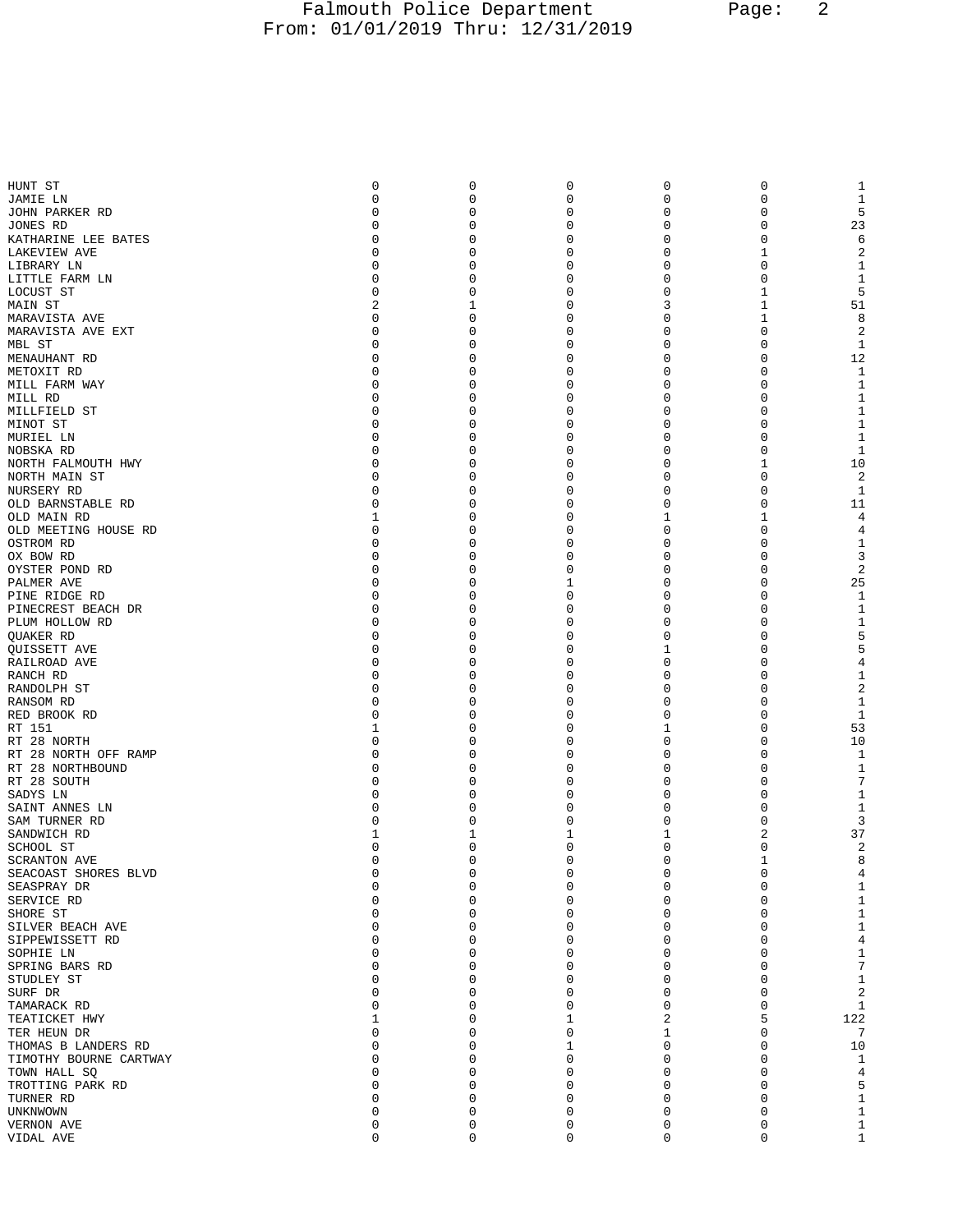## Falmouth Police Department Page: 2 From: 01/01/2019 Thru: 12/31/2019

| HUNT ST                      | 0        | 0           | 0                | 0             | 0             | 1                   |
|------------------------------|----------|-------------|------------------|---------------|---------------|---------------------|
| JAMIE LN                     | 0        | 0           | 0                | 0             | 0             | $\mathbf{1}$        |
| JOHN PARKER RD               | O        | 0           | 0                | $\Omega$      | 0             | 5                   |
| JONES RD                     | 0        | 0           | 0                | 0             | 0             | 23                  |
| KATHARINE LEE BATES          | 0        | 0           | 0                | 0             | 0             | 6                   |
| LAKEVIEW AVE                 | O<br>0   | 0           | 0                | 0             | 1<br>0        | $\overline{a}$      |
| LIBRARY LN<br>LITTLE FARM LN | O        | 0<br>0      | 0<br>0           | 0<br>0        | 0             | 1<br>1              |
| LOCUST ST                    | O        | 0           | 0                | 0             | 1             | 5                   |
| MAIN ST                      | 2        | 1           | 0                | 3             | 1             | 51                  |
| MARAVISTA AVE                | 0        | 0           | 0                | 0             | 1             | 8                   |
| MARAVISTA AVE EXT            | O        | 0           | 0                | 0             | 0             | 2                   |
| MBL ST                       | 0        | 0           | 0                | 0             | 0             | 1                   |
| MENAUHANT RD                 | O        | 0           | 0                | 0             | 0             | 12                  |
| METOXIT RD                   |          | 0           | 0                | 0             | $\Omega$      | 1                   |
| MILL FARM WAY                | $\left($ | 0           | 0                | 0             | 0             | 1                   |
| MILL RD                      | 0<br>O   | 0<br>0      | 0<br>0           | 0<br>0        | 0<br>0        | 1<br>1              |
| MILLFIELD ST<br>MINOT ST     | O        | 0           | 0                | 0             | 0             | 1                   |
| MURIEL LN                    | O        | 0           | 0                | 0             | 0             | 1                   |
| NOBSKA RD                    | O        | 0           | 0                | 0             | 0             | 1                   |
| NORTH FALMOUTH HWY           | O        | 0           | 0                | 0             | 1             | 10                  |
| NORTH MAIN ST                | 0        | 0           | 0                | 0             | 0             | 2                   |
| NURSERY RD                   | O        | 0           | 0                | 0             | 0             | 1                   |
| OLD BARNSTABLE RD            | 0        | 0           | 0                | 0             | 0             | 11                  |
| OLD MAIN RD                  |          | 0           | 0                | 1             | 1             | 4                   |
| OLD MEETING HOUSE RD         | O        | 0           | 0                | 0             | 0             | 4                   |
| OSTROM RD                    | 0<br>O   | 0<br>0      | 0<br>0           | 0             | 0<br>0        | 1<br>3              |
| OX BOW RD<br>OYSTER POND RD  | O        | 0           | 0                | 0<br>0        | 0             | 2                   |
| PALMER AVE                   | 0        | $\Omega$    | 1                | 0             | 0             | 25                  |
| PINE RIDGE RD                | O        | 0           | 0                | 0             | 0             | 1                   |
| PINECREST BEACH DR           | O        | 0           | 0                | 0             | 0             | 1                   |
| PLUM HOLLOW RD               | O        | 0           | 0                | 0             | 0             | 1                   |
| QUAKER RD                    | 0        | 0           | 0                | 0             | 0             | 5                   |
| QUISSETT AVE                 | $\left($ | 0           | 0                | 1             | 0             | 5                   |
| RAILROAD AVE                 | 0        | $\Omega$    | 0                | 0             | 0             | 4                   |
| RANCH RD                     | O        | 0           | 0                | 0             | 0             | 1                   |
| RANDOLPH ST<br>RANSOM RD     |          | 0<br>0      | 0<br>0           | 0<br>0        | $\Omega$<br>0 | $\overline{c}$<br>1 |
| RED BROOK RD                 | 0        | 0           | 0                | 0             | 0             | 1                   |
| RT 151                       | ٦        | 0           | 0                | 1             | 0             | 53                  |
| RT 28 NORTH                  | 0        | $\Omega$    | 0                | 0             | 0             | 10                  |
| RT 28 NORTH OFF RAMP         | 0        | 0           | 0                | 0             | 0             | 1                   |
| RT 28 NORTHBOUND             | O        | 0           | 0                | 0             | 0             | $\mathbf{1}$        |
| RT 28 SOUTH                  |          | 0           | 0                | 0             | 0             | 7                   |
| SADYS LN                     |          | 0           | 0                | 0             | 0             | 1                   |
| SAINT ANNES LN               |          | 0<br>0      | 0                | 0<br>$\Omega$ | 0<br>0        | 1                   |
| SAM TURNER RD<br>SANDWICH RD |          | 1           | 0<br>1           | 1             | 2             | 3<br>37             |
| SCHOOL ST                    | O        | $\mathbf 0$ | $\mathbf 0$      | 0             | $\Omega$      | 2                   |
| SCRANTON AVE                 |          | $\cap$      | $\mathbf 0$      | 0             | 1             | $\mathsf{R}$        |
| SEACOAST SHORES BLVD         | 0        | 0           | 0                | $\mathsf 0$   | 0             |                     |
| SEASPRAY DR                  |          | 0           | 0                | 0             | 0             |                     |
| SERVICE RD                   | U        | 0           | 0                | 0             | 0             |                     |
| SHORE ST                     |          | 0           | 0                | 0             | 0             |                     |
| SILVER BEACH AVE             |          | 0           | 0                | 0             | 0             |                     |
| SIPPEWISSETT RD              |          | 0<br>0      | 0<br>0           | 0<br>0        | 0<br>0        | 4<br>1              |
| SOPHIE LN<br>SPRING BARS RD  |          | 0           | $\mathbf 0$      | 0             | 0             | 7                   |
| STUDLEY ST                   |          | $\Omega$    | 0                | 0             | 0             | 1                   |
| SURF DR                      |          | 0           | 0                | 0             | O             | $\overline{c}$      |
| TAMARACK RD                  |          | $\Omega$    | $\mathbf 0$      | 0             | O             | 1                   |
| TEATICKET HWY                |          | 0           | 1                | 2             | 5             | 122                 |
| TER HEUN DR                  |          | 0           | $\mathbf 0$      | 1             | 0             | 7                   |
| THOMAS B LANDERS RD          |          | $\Omega$    | 1                | 0             | 0             | 10                  |
| TIMOTHY BOURNE CARTWAY       |          | 0           | $\mathbf 0$      | 0             | 0             | 1                   |
| TOWN HALL SQ                 |          | 0           | 0                | 0             | O             | 4                   |
| TROTTING PARK RD             |          | 0<br>0      | 0<br>$\mathbf 0$ | 0<br>0        | $\Omega$<br>0 | 5<br>1              |
| TURNER RD<br>UNKNWOWN        | 0        | 0           | $\mathbf 0$      | 0             | 0             | $\mathbf{1}$        |
| VERNON AVE                   | 0        | 0           | 0                | 0             | 0             | 1                   |
| VIDAL AVE                    | 0        | 0           | 0                | 0             | 0             | 1                   |